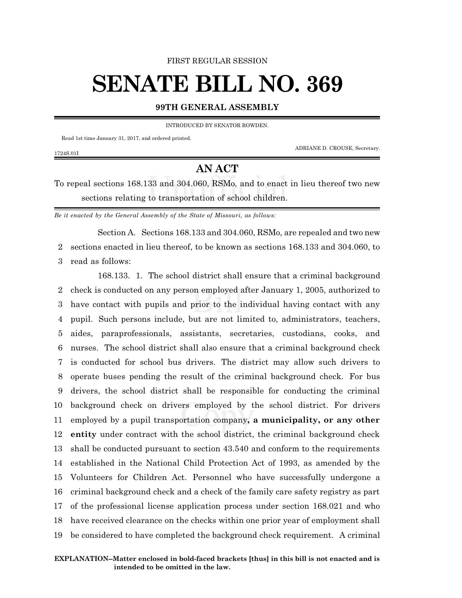FIRST REGULAR SESSION

## **SENATE BILL NO. 369**

## **99TH GENERAL ASSEMBLY**

INTRODUCED BY SENATOR ROWDEN.

Read 1st time January 31, 2017, and ordered printed.

1724S.01I

ADRIANE D. CROUSE, Secretary.

## **AN ACT**

To repeal sections 168.133 and 304.060, RSMo, and to enact in lieu thereof two new sections relating to transportation of school children.

*Be it enacted by the General Assembly of the State of Missouri, as follows:*

Section A. Sections 168.133 and 304.060, RSMo, are repealed and two new 2 sections enacted in lieu thereof, to be known as sections 168.133 and 304.060, to

3 read as follows:

168.133. 1. The school district shall ensure that a criminal background check is conducted on any person employed after January 1, 2005, authorized to have contact with pupils and prior to the individual having contact with any pupil. Such persons include, but are not limited to, administrators, teachers, aides, paraprofessionals, assistants, secretaries, custodians, cooks, and nurses. The school district shall also ensure that a criminal background check is conducted for school bus drivers. The district may allow such drivers to operate buses pending the result of the criminal background check. For bus drivers, the school district shall be responsible for conducting the criminal background check on drivers employed by the school district. For drivers employed by a pupil transportation company**, a municipality, or any other entity** under contract with the school district, the criminal background check shall be conducted pursuant to section 43.540 and conform to the requirements established in the National Child Protection Act of 1993, as amended by the Volunteers for Children Act. Personnel who have successfully undergone a criminal background check and a check of the family care safety registry as part of the professional license application process under section 168.021 and who have received clearance on the checks within one prior year of employment shall be considered to have completed the background check requirement. A criminal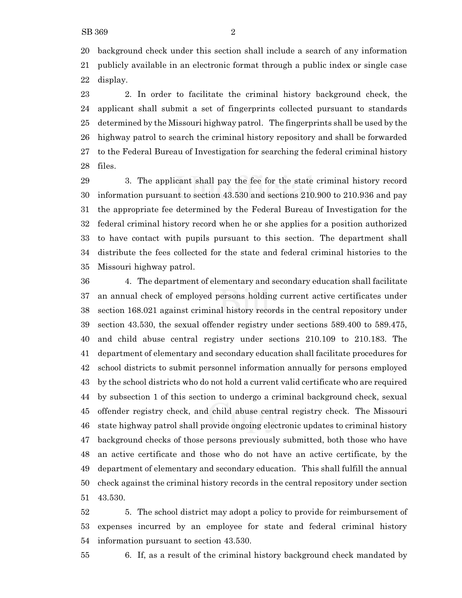background check under this section shall include a search of any information publicly available in an electronic format through a public index or single case display.

 2. In order to facilitate the criminal history background check, the applicant shall submit a set of fingerprints collected pursuant to standards determined by the Missouri highway patrol. The fingerprints shall be used by the highway patrol to search the criminal history repository and shall be forwarded to the Federal Bureau of Investigation for searching the federal criminal history files.

 3. The applicant shall pay the fee for the state criminal history record information pursuant to section 43.530 and sections 210.900 to 210.936 and pay the appropriate fee determined by the Federal Bureau of Investigation for the federal criminal history record when he or she applies for a position authorized to have contact with pupils pursuant to this section. The department shall distribute the fees collected for the state and federal criminal histories to the Missouri highway patrol.

 4. The department of elementary and secondary education shall facilitate an annual check of employed persons holding current active certificates under section 168.021 against criminal history records in the central repository under section 43.530, the sexual offender registry under sections 589.400 to 589.475, and child abuse central registry under sections 210.109 to 210.183. The department of elementary and secondary education shall facilitate procedures for school districts to submit personnel information annually for persons employed by the school districts who do not hold a current valid certificate who are required by subsection 1 of this section to undergo a criminal background check, sexual offender registry check, and child abuse central registry check. The Missouri state highway patrol shall provide ongoing electronic updates to criminal history background checks of those persons previously submitted, both those who have an active certificate and those who do not have an active certificate, by the department of elementary and secondary education. This shall fulfill the annual check against the criminal history records in the central repository under section 43.530.

 5. The school district may adopt a policy to provide for reimbursement of expenses incurred by an employee for state and federal criminal history information pursuant to section 43.530.

6. If, as a result of the criminal history background check mandated by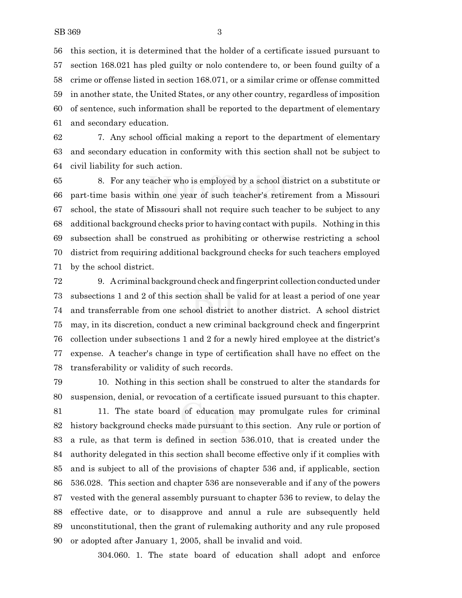this section, it is determined that the holder of a certificate issued pursuant to section 168.021 has pled guilty or nolo contendere to, or been found guilty of a crime or offense listed in section 168.071, or a similar crime or offense committed in another state, the United States, or any other country, regardless of imposition of sentence, such information shall be reported to the department of elementary and secondary education.

 7. Any school official making a report to the department of elementary and secondary education in conformity with this section shall not be subject to civil liability for such action.

 8. For any teacher who is employed by a school district on a substitute or part-time basis within one year of such teacher's retirement from a Missouri school, the state of Missouri shall not require such teacher to be subject to any additional background checks prior to having contact with pupils. Nothing in this subsection shall be construed as prohibiting or otherwise restricting a school district from requiring additional background checks for such teachers employed by the school district.

 9. A criminal background check and fingerprint collection conducted under subsections 1 and 2 of this section shall be valid for at least a period of one year and transferrable from one school district to another district. A school district may, in its discretion, conduct a new criminal background check and fingerprint collection under subsections 1 and 2 for a newly hired employee at the district's expense. A teacher's change in type of certification shall have no effect on the transferability or validity of such records.

 10. Nothing in this section shall be construed to alter the standards for suspension, denial, or revocation of a certificate issued pursuant to this chapter. 11. The state board of education may promulgate rules for criminal history background checks made pursuant to this section. Any rule or portion of a rule, as that term is defined in section 536.010, that is created under the authority delegated in this section shall become effective only if it complies with and is subject to all of the provisions of chapter 536 and, if applicable, section 536.028. This section and chapter 536 are nonseverable and if any of the powers vested with the general assembly pursuant to chapter 536 to review, to delay the effective date, or to disapprove and annul a rule are subsequently held unconstitutional, then the grant of rulemaking authority and any rule proposed or adopted after January 1, 2005, shall be invalid and void.

304.060. 1. The state board of education shall adopt and enforce